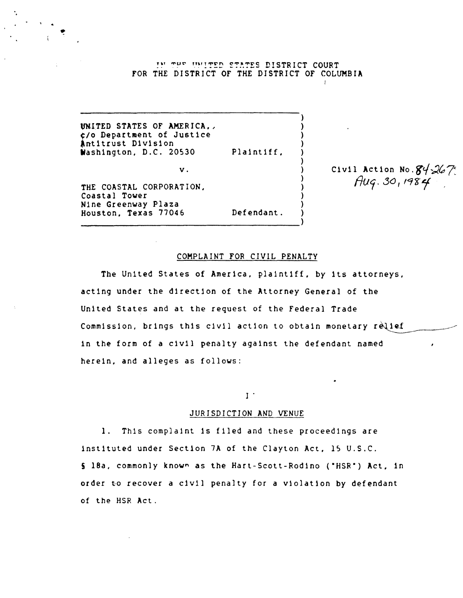IN THE INITED STATES DISTRICT COURT fOR THE DISTRICT OF THE DISTRICT OF COLUMBIA

UNITED STATES OF AMERICA,, ~/O Department of Justice Antitrust Division Wash1ngton, D.C. 20530 v. THE COASTAL CORPORATION, Coastal Tower Plaintiff,

---------------------------------------)

Nine Greenway Plaza Houston, Texas 77046

Civil Action No.  $84-267$  $Aug. 30, 1984$ 

### COMPLAINT FOR CIVIL PENALTY

Defendant.

) ) ) ) ) ) ) ) ) ) ) )

The United States of America, plaintiff, by its attorneys, acting under the d1rection of the Attorney General of the United States and at the request of the Federal Trade Commission, brings this civil action to obtain monetary relief 1n the form of a civ1l penalty aga1nst the defendant named here1n, and alleges as follows:

# $I$  .

#### JURISDICTION AND VENUE

1. This complaint 1s filed and these proceedings are 1nst1tuted under Sect10n 7A of the Clayton Act, 15 U.S.C. S l8a, commonly known as the Hart-Scott-Rodino ("HSR") Act, in order to recover a civil penalty for a violation by defendant of the HSR Act.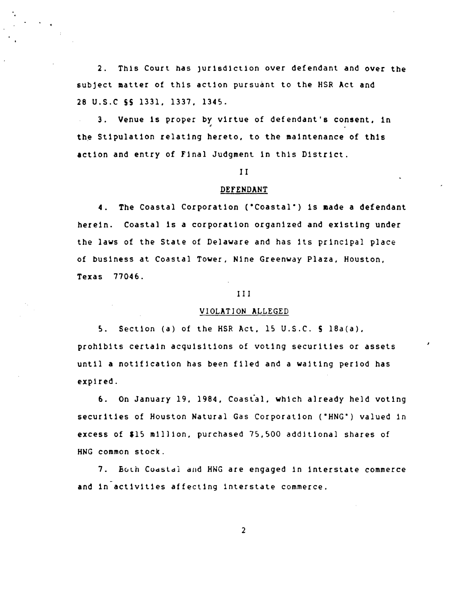2. This Court has jurisdiction over defendant and over the subject matter of this action pursuant to the HSR Act and 28 U.S.C 55 1331. 1337. 1345.

3. Venue is proper by virtue of defendant's consent, in the Stipulation relating hereto, to the maintenance of this action and entry of Final Judgment in this District.

#### I I

#### DEfENDANT

4. The Coastal Corporation ("Coastal") is made a defendant herein. Coastal is a corporation organized and existing under the laws of the State of Delaware and has its principal place of bus1ness at Coastal Tower, N1ne Greenway Plaza. Houston, Texas 77046.

#### III

#### VIOLATION ALLEGED

5. Sect10n (a) of the HSR Act, 15 U.S.C. 5 18a(a). prohibits certain acquisitions of voting securities or assets until a notif1cat1on has been fIled and a wa1t1ng per10d has expired.

6. On January 19. 1984, Coastal. wh1ch already held voting securities of Houston Natural Gas Corporation ("HNG") valued in excess of \$15 million, purchased 75,500 additional shares of HNG common stock.

7. Buth COd5ldl dud HWG are engaged 1n interstate commerce and in activities affecting interstate commerce.

2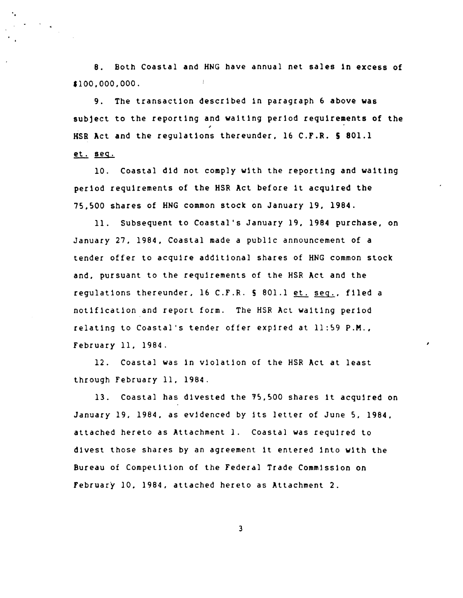8. Both Coastal and HNG have annual net sales In excess of '100.000,000.  $\mathfrak{f}$ 

"

9. The transactlon descrlbed In paragraph 6 above was subject to the reporting and waiting period requirements of the HSB Act and the regulatlons thereunder, 16 C.F.R. S 801.1 et. seq.

10. Coastal dld not comply with the reportlng and waltlng period requirements of the HSR Act before it acqulred the 75,500 shares of HNG common stock on January 19, 1984.

11. Subsequent to Coastal's January 19, 1984 purchase, on January 27, 1984, Coastal made a public announcement of a tender offer to acquire additional shares of HNG common stock and, pursuant to the requirements of the HSR Act and the regulations thereunder, 16 C.F.R. § 801.1 et. seq., filed a notification and report form. The HSR Act waiting perlod relating to Coastal's tender offer expired at  $l$ 1:59 P.M., February 11, 1964.

12. Coastal was in violation of the HSR Act at least through february 11, 1984.

13. Coastal has divested the 75,500 shares it acquired on January 19, 1984, as eVidenced by its letter of June 5, 1984, attached hereto as Attachment 1. Coastal was required to divest those shares by an agreement it entered into with the Bureau of Competition of the Federal Trade Comm1ssion on february 10, 1984, attached hereto as Attachment 2.

3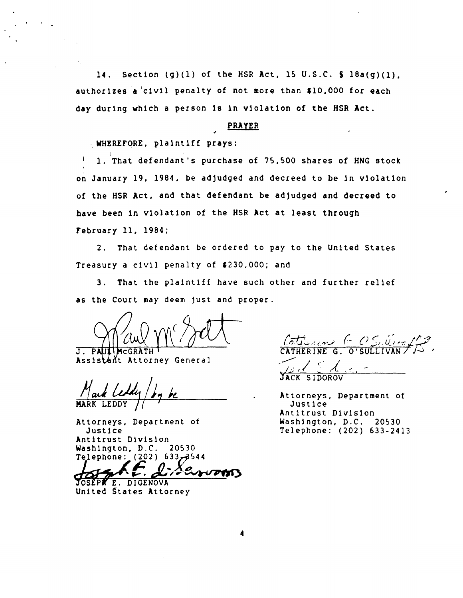14. Section  $(g)(1)$  of the HSR Act, 15 U.S.C.  $\frac{1}{2}$  Ba(g)(1), authorizes a civil penalty of not more than \$10,000 for each day during which a person is in violation of the HSR Act.

# **PRAYER**

- WHEREFORE, plaintiff prays:

 $\mathbf{I}$ 1. That defendant's purchase of 75,500 shares of HNG stock on January 19, 1984, be adjudged and decreed to be in violation of the HSR Act, and that defendant be adjudged and decreed to have been in violation of the HSR Act at least through February 11, 1984;

2. That defendant be ordered to pay to the United States Treasury a civil penalty of \$230,000; and

3. That the plaintiff have such other and further relief as the Court may deem just and proper.

J. PA Assistant Attorney General

Attorneys, Department of Justice Antitrust Division Washington, D.C. 20530 544هر633 (202) Telephone: (202

DENVOTA JOSEPKE. DIGENOVA

United States Attorney

 $\frac{6\pi}{2}$ 

JACK SIDOROV

Attorneys, Department of Justice Antitrust Division Washington, D.C. 20530 Telephone: (202) 633-2413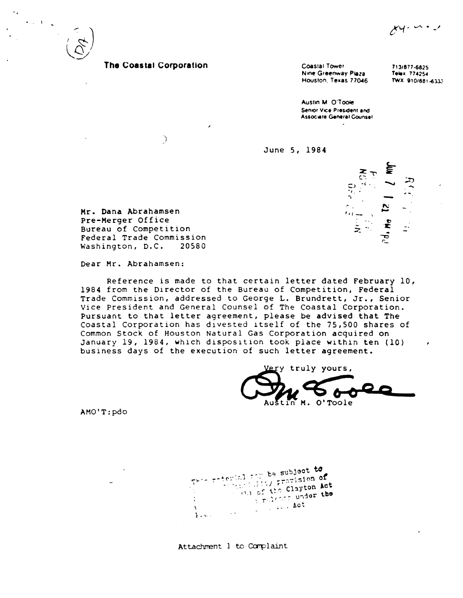$x + y + 1$ 



 $\label{eq:2} \frac{1}{2} \left( \frac{1}{2} \right) \left( \frac{1}{2} \right) \left( \frac{1}{2} \right) \left( \frac{1}{2} \right)$ 

# The Coastal Corporation

 $\big)$ 

Coastal Tower Nine Greenway Plaza Houston, Texas 77046

713/877-6825 Telex 774254 TWX 910/881-6333

Austin M. O'Toole Senior Vice President and **Associate General Counsel** 

June 5, 1984



Mr. Dana Abrahamsen Pre-Merger Office Bureau of Competition Federal Trade Commission Washington, D.C. 20580

Dear Mr. Abrahamsen:

Reference is made to that certain letter dated February 10, 1984 from the Director of the Bureau of Competition, Federal Trade Commission, addressed to George L. Brundrett, Jr., Senior Vice President and General Counsel of The Coastal Corporation. Pursuant to that letter agreement, please be advised that The Coastal Corporation has divested itself of the 75,500 shares of Common Stock of Houston Natural Gas Corporation acquired on January 19, 1984, which disposition took place within ten (10) business days of the execution of such letter agreement.

truly yours, Austin M. O'Toole

AMO'T:pdo

This referial and be subject to When i fits prevision of On of the Clayton Act Trilence under the Le . Le . Act  $\mathbf{v}$  $\sim 100$  $\mathbf{F}$  and  $\mathbf{F}$ 

Attachment 1 to Complaint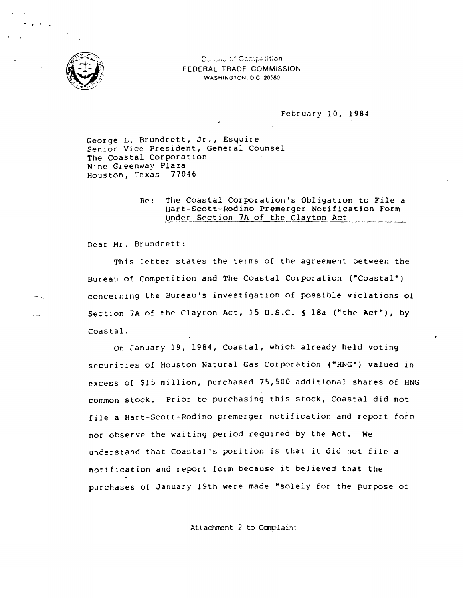

**Dureau of Competition** FEDERAL TRADE COMMISSION WASHINGTON, 0 C 2OS80

February 10, 1984

George L. Brundrett, Jr., Esquire Senior Vice President, General Counsel The Coastal Corporation Nine Greenway Plaza Houston, Texas 77046

# Re: The Coastal Corporation's Obligation to File a Hart-Scott-Rodino Premerger Notification Form under Section 7A of the Clayton Act

Dear Mr. Brundrett:

This letter states the terms of the agreement between the Bureau of Competition and The Coastal Corporation ("Coastal") concerning the Bureau's investigation of possible violations of Section 7A of the Clayton Act, 15 U.S.C. § 18a ("the Act"), by Coastal.

On January 19, 1984, Coastal, which already held voting securities of Houston Natural Gas Corporation ("HNG") valued in excess of \$15 million, purchased 75,500 additional shares of HNG common stock. Prior to purchasing this stock, Coastal did not file a Hart-Scott-Rodino premerger notification and report form nor observe the waiting period required by the Act. We understand that Coastal's position is that it did not file a notification and report form because it believed that the purchases of January 19th were made "solely for the purpose of

Attachment 2 to Complaint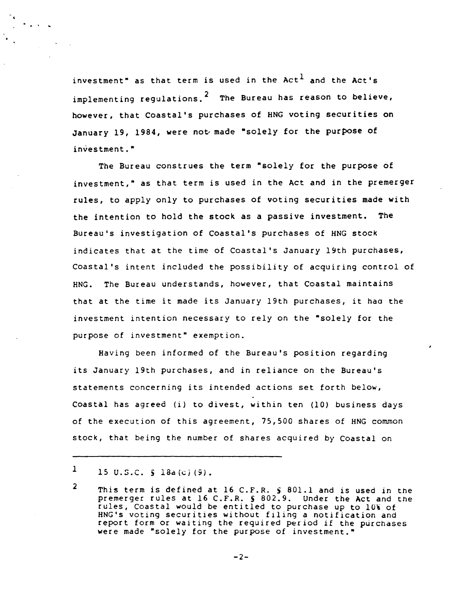investment" as that term is used in the Act<sup>1</sup> and the Act's implementing regulations.<sup>2</sup> The Bureau has reason to believe, however, that Coastal's purchases of HNG voting securities on January 19, 1984, were not made "solely for the purpose of investment."

The Bureau construes the term "solely for the purpose of investment," as that term is used in the Act and in the premerger rules, to apply only to purchases of voting securities made with the intention to hold the stock as a passive investment. The Bureau's investigation of Coastal's purchases of HNG stock indicates that at the time of Coastal's January 19th purchases, Coastal's intent included the possibility of acquiring control of HNG. The Bureau understands, however, that Coastal maintains that at the time it made its January 19th purchases, it haa the investment intention necessary to rely on the "solely for the purpose of investment" exemption.

Having been informed of the Bureau's position regarding its January 19th purchases, and in reliance on the Bureau's statements concerning its intended actions set forth below, Coastal has agreed (i) to divest, within ten (10) business days of the execution of this agreement, 75,500 shares of HNG common stock, that being the number of shares acquired by Coastal on

.' ..

<sup>1</sup>  15 U.S.C. **§** 18a(c)(9).

<sup>2</sup>  This term is defined at 16 C.F.R. S 801.1 and is used in the premerger rules at 16 C.F.R. S 802.9. Under the Act and the rules, Coastal would be entitled to purchase up to 10% of HNG's voting securities without filing a notification and report form or waiting the required period if the purchases were made "solely for the purpose of investment."